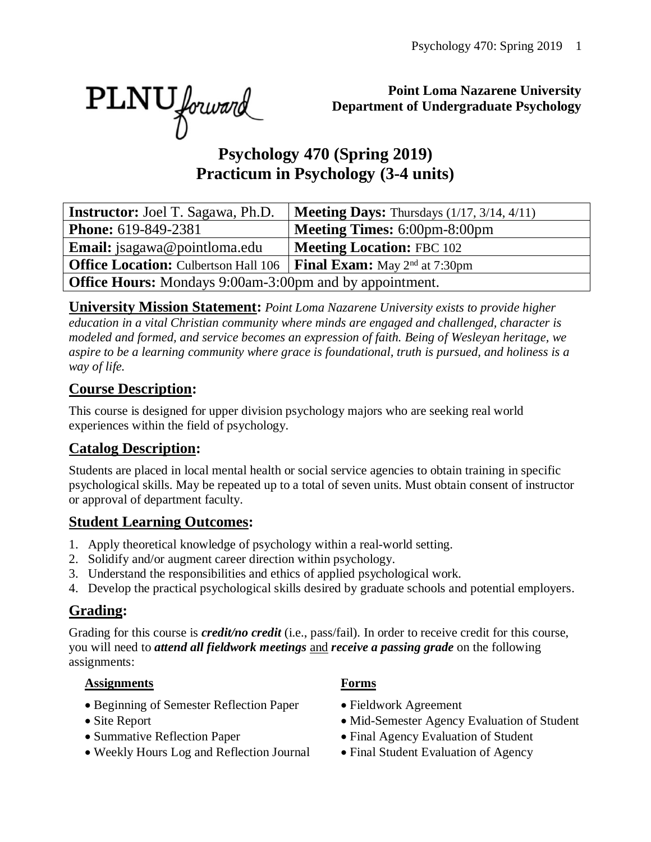PLNU forward

**Point Loma Nazarene University Department of Undergraduate Psychology**

# **Psychology 470 (Spring 2019) Practicum in Psychology (3-4 units)**

| <b>Instructor:</b> Joel T. Sagawa, Ph.D.                                                       | <b>Meeting Days:</b> Thursdays $(1/17, 3/14, 4/11)$ |  |  |  |
|------------------------------------------------------------------------------------------------|-----------------------------------------------------|--|--|--|
| <b>Phone:</b> 619-849-2381                                                                     | <b>Meeting Times: 6:00pm-8:00pm</b>                 |  |  |  |
| <b>Email:</b> jsagawa@pointloma.edu                                                            | <b>Meeting Location: FBC 102</b>                    |  |  |  |
| <b>Office Location:</b> Culbertson Hall 106   <b>Final Exam:</b> May 2 <sup>nd</sup> at 7:30pm |                                                     |  |  |  |
| <b>Office Hours:</b> Mondays 9:00am-3:00pm and by appointment.                                 |                                                     |  |  |  |

**University Mission Statement:** *Point Loma Nazarene University exists to provide higher education in a vital Christian community where minds are engaged and challenged, character is modeled and formed, and service becomes an expression of faith. Being of Wesleyan heritage, we aspire to be a learning community where grace is foundational, truth is pursued, and holiness is a way of life.*

#### **Course Description:**

This course is designed for upper division psychology majors who are seeking real world experiences within the field of psychology.

#### **Catalog Description:**

Students are placed in local mental health or social service agencies to obtain training in specific psychological skills. May be repeated up to a total of seven units. Must obtain consent of instructor or approval of department faculty.

#### **Student Learning Outcomes:**

- 1. Apply theoretical knowledge of psychology within a real-world setting.
- 2. Solidify and/or augment career direction within psychology.
- 3. Understand the responsibilities and ethics of applied psychological work.
- 4. Develop the practical psychological skills desired by graduate schools and potential employers.

#### **Grading:**

Grading for this course is *credit/no credit* (i.e., pass/fail). In order to receive credit for this course, you will need to *attend all fieldwork meetings* and *receive a passing grade* on the following assignments:

#### **Assignments Forms**

- Beginning of Semester Reflection Paper Fieldwork Agreement
- 
- 
- Weekly Hours Log and Reflection Journal Final Student Evaluation of Agency

- 
- Site Report Mid-Semester Agency Evaluation of Student
- Summative Reflection Paper Final Agency Evaluation of Student
	-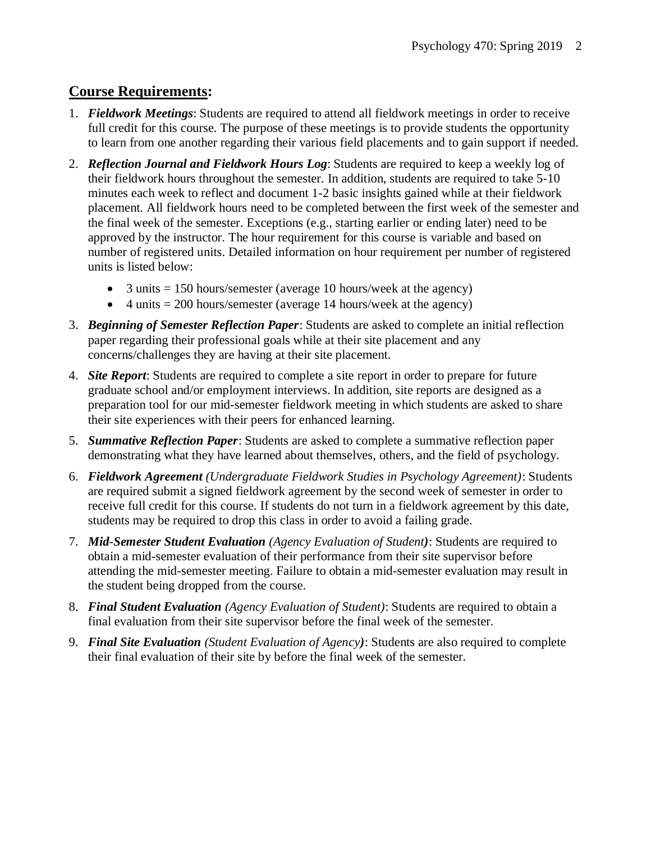#### **Course Requirements:**

- 1. *Fieldwork Meetings*: Students are required to attend all fieldwork meetings in order to receive full credit for this course. The purpose of these meetings is to provide students the opportunity to learn from one another regarding their various field placements and to gain support if needed.
- 2. *Reflection Journal and Fieldwork Hours Log*: Students are required to keep a weekly log of their fieldwork hours throughout the semester. In addition, students are required to take 5-10 minutes each week to reflect and document 1-2 basic insights gained while at their fieldwork placement. All fieldwork hours need to be completed between the first week of the semester and the final week of the semester. Exceptions (e.g., starting earlier or ending later) need to be approved by the instructor. The hour requirement for this course is variable and based on number of registered units. Detailed information on hour requirement per number of registered units is listed below:
	- 3 units  $= 150$  hours/semester (average 10 hours/week at the agency)
	- 4 units  $= 200$  hours/semester (average 14 hours/week at the agency)
- 3. *Beginning of Semester Reflection Paper*: Students are asked to complete an initial reflection paper regarding their professional goals while at their site placement and any concerns/challenges they are having at their site placement.
- 4. *Site Report*: Students are required to complete a site report in order to prepare for future graduate school and/or employment interviews. In addition, site reports are designed as a preparation tool for our mid-semester fieldwork meeting in which students are asked to share their site experiences with their peers for enhanced learning.
- 5. *Summative Reflection Paper*: Students are asked to complete a summative reflection paper demonstrating what they have learned about themselves, others, and the field of psychology.
- 6. *Fieldwork Agreement (Undergraduate Fieldwork Studies in Psychology Agreement)*: Students are required submit a signed fieldwork agreement by the second week of semester in order to receive full credit for this course. If students do not turn in a fieldwork agreement by this date, students may be required to drop this class in order to avoid a failing grade.
- 7. *Mid*-*Semester Student Evaluation (Agency Evaluation of Student)*: Students are required to obtain a mid-semester evaluation of their performance from their site supervisor before attending the mid-semester meeting. Failure to obtain a mid-semester evaluation may result in the student being dropped from the course.
- 8. *Final Student Evaluation (Agency Evaluation of Student)*: Students are required to obtain a final evaluation from their site supervisor before the final week of the semester.
- 9. *Final Site Evaluation (Student Evaluation of Agency)*: Students are also required to complete their final evaluation of their site by before the final week of the semester.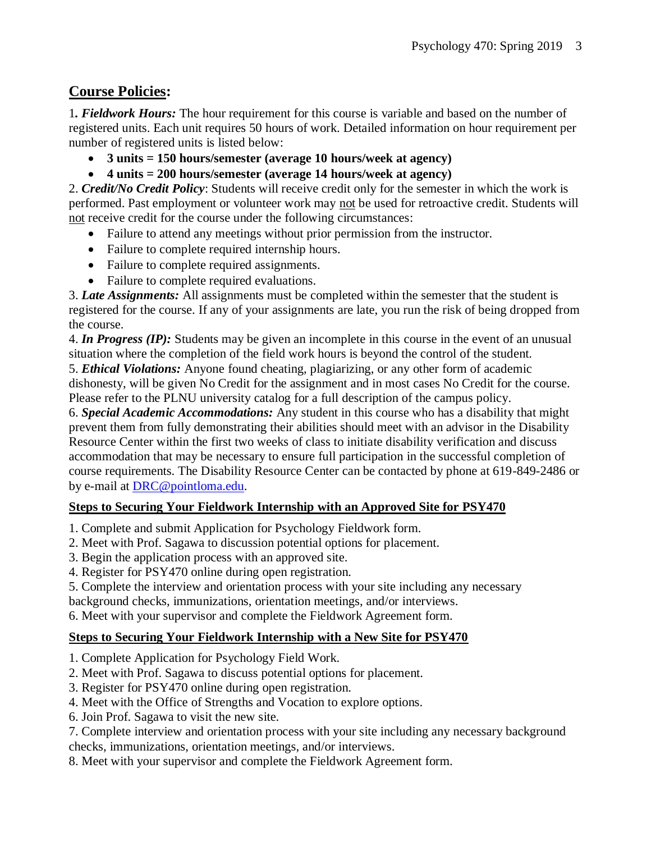#### **Course Policies:**

1*. Fieldwork Hours:* The hour requirement for this course is variable and based on the number of registered units. Each unit requires 50 hours of work. Detailed information on hour requirement per number of registered units is listed below:

- **3 units = 150 hours/semester (average 10 hours/week at agency)**
- **4 units = 200 hours/semester (average 14 hours/week at agency)**

2. *Credit/No Credit Policy*: Students will receive credit only for the semester in which the work is performed. Past employment or volunteer work may not be used for retroactive credit. Students will not receive credit for the course under the following circumstances:

- Failure to attend any meetings without prior permission from the instructor.
- Failure to complete required internship hours.
- Failure to complete required assignments.
- Failure to complete required evaluations.

3. *Late Assignments:* All assignments must be completed within the semester that the student is registered for the course. If any of your assignments are late, you run the risk of being dropped from the course.

4. *In Progress (IP):* Students may be given an incomplete in this course in the event of an unusual situation where the completion of the field work hours is beyond the control of the student.

5. *Ethical Violations:* Anyone found cheating, plagiarizing, or any other form of academic dishonesty, will be given No Credit for the assignment and in most cases No Credit for the course. Please refer to the PLNU university catalog for a full description of the campus policy.

6. *Special Academic Accommodations:* Any student in this course who has a disability that might prevent them from fully demonstrating their abilities should meet with an advisor in the Disability Resource Center within the first two weeks of class to initiate disability verification and discuss accommodation that may be necessary to ensure full participation in the successful completion of course requirements. The Disability Resource Center can be contacted by phone at 619-849-2486 or by e-mail at [DRC@pointloma.edu.](mailto:DRC@pointloma.edu)

#### **Steps to Securing Your Fieldwork Internship with an Approved Site for PSY470**

- 1. Complete and submit Application for Psychology Fieldwork form.
- 2. Meet with Prof. Sagawa to discussion potential options for placement.
- 3. Begin the application process with an approved site.
- 4. Register for PSY470 online during open registration.
- 5. Complete the interview and orientation process with your site including any necessary

background checks, immunizations, orientation meetings, and/or interviews.

6. Meet with your supervisor and complete the Fieldwork Agreement form.

#### **Steps to Securing Your Fieldwork Internship with a New Site for PSY470**

- 1. Complete Application for Psychology Field Work.
- 2. Meet with Prof. Sagawa to discuss potential options for placement.
- 3. Register for PSY470 online during open registration.
- 4. Meet with the Office of Strengths and Vocation to explore options.
- 6. Join Prof. Sagawa to visit the new site.

7. Complete interview and orientation process with your site including any necessary background checks, immunizations, orientation meetings, and/or interviews.

8. Meet with your supervisor and complete the Fieldwork Agreement form.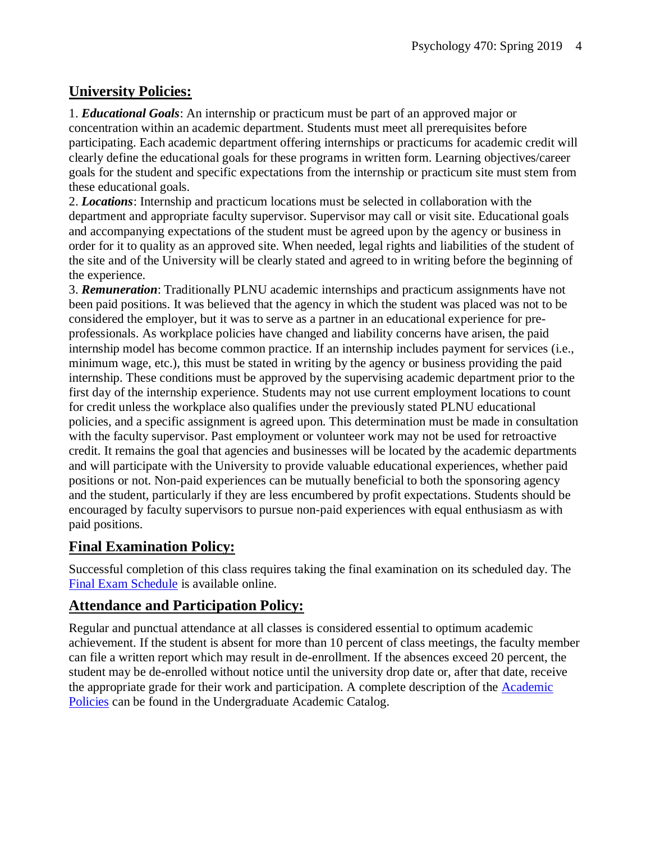#### **University Policies:**

1. *Educational Goals*: An internship or practicum must be part of an approved major or concentration within an academic department. Students must meet all prerequisites before participating. Each academic department offering internships or practicums for academic credit will clearly define the educational goals for these programs in written form. Learning objectives/career goals for the student and specific expectations from the internship or practicum site must stem from these educational goals.

2. *Locations*: Internship and practicum locations must be selected in collaboration with the department and appropriate faculty supervisor. Supervisor may call or visit site. Educational goals and accompanying expectations of the student must be agreed upon by the agency or business in order for it to quality as an approved site. When needed, legal rights and liabilities of the student of the site and of the University will be clearly stated and agreed to in writing before the beginning of the experience.

3. *Remuneration*: Traditionally PLNU academic internships and practicum assignments have not been paid positions. It was believed that the agency in which the student was placed was not to be considered the employer, but it was to serve as a partner in an educational experience for preprofessionals. As workplace policies have changed and liability concerns have arisen, the paid internship model has become common practice. If an internship includes payment for services (i.e., minimum wage, etc.), this must be stated in writing by the agency or business providing the paid internship. These conditions must be approved by the supervising academic department prior to the first day of the internship experience. Students may not use current employment locations to count for credit unless the workplace also qualifies under the previously stated PLNU educational policies, and a specific assignment is agreed upon. This determination must be made in consultation with the faculty supervisor. Past employment or volunteer work may not be used for retroactive credit. It remains the goal that agencies and businesses will be located by the academic departments and will participate with the University to provide valuable educational experiences, whether paid positions or not. Non-paid experiences can be mutually beneficial to both the sponsoring agency and the student, particularly if they are less encumbered by profit expectations. Students should be encouraged by faculty supervisors to pursue non-paid experiences with equal enthusiasm as with paid positions.

#### **Final Examination Policy:**

Successful completion of this class requires taking the final examination on its scheduled day. The [Final Exam Schedule](http://www.pointloma.edu/experience/academics/class-schedules) is available online.

#### **Attendance and Participation Policy:**

Regular and punctual attendance at all classes is considered essential to optimum academic achievement. If the student is absent for more than 10 percent of class meetings, the faculty member can file a written report which may result in de-enrollment. If the absences exceed 20 percent, the student may be de-enrolled without notice until the university drop date or, after that date, receive the appropriate grade for their work and participation. A complete description of the [Academic](https://catalog.pointloma.edu/content.php?catoid=18&navoid=1278#Class_Attendance)  [Policies](https://catalog.pointloma.edu/content.php?catoid=18&navoid=1278#Class_Attendance) can be found in the Undergraduate Academic Catalog.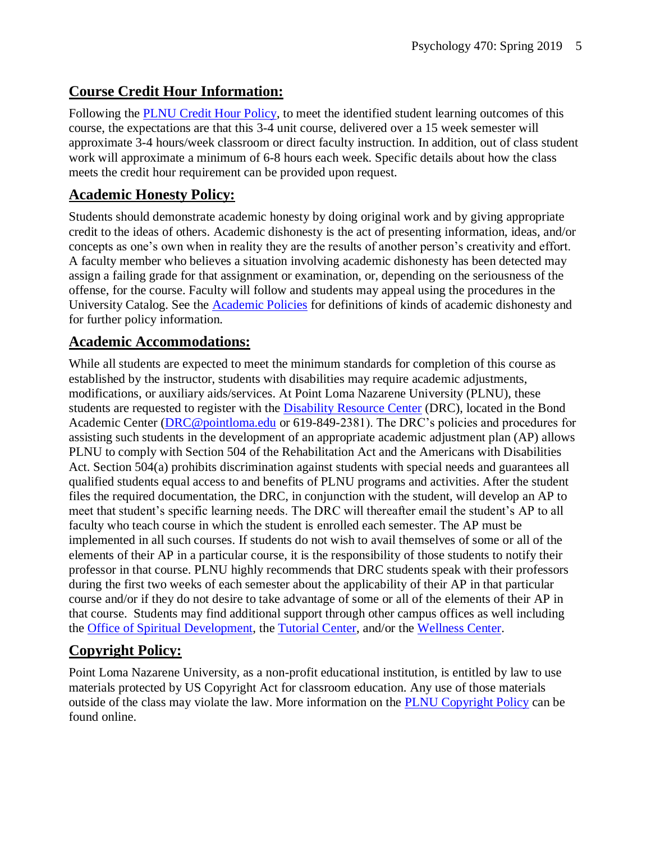#### **Course Credit Hour Information:**

Following the [PLNU Credit Hour Policy,](http://catalog.pointloma.edu/content.php?catoid=18&navoid=1278#Credit_Hour_Definition) to meet the identified student learning outcomes of this course, the expectations are that this 3-4 unit course, delivered over a 15 week semester will approximate 3-4 hours/week classroom or direct faculty instruction. In addition, out of class student work will approximate a minimum of 6-8 hours each week. Specific details about how the class meets the credit hour requirement can be provided upon request.

#### **Academic Honesty Policy:**

Students should demonstrate academic honesty by doing original work and by giving appropriate credit to the ideas of others. Academic dishonesty is the act of presenting information, ideas, and/or concepts as one's own when in reality they are the results of another person's creativity and effort. A faculty member who believes a situation involving academic dishonesty has been detected may assign a failing grade for that assignment or examination, or, depending on the seriousness of the offense, for the course. Faculty will follow and students may appeal using the procedures in the University Catalog. See the [Academic Policies](https://catalog.pointloma.edu/content.php?catoid=18&navoid=1278#Academic_Honesty) for definitions of kinds of academic dishonesty and for further policy information.

#### **Academic Accommodations:**

While all students are expected to meet the minimum standards for completion of this course as established by the instructor, students with disabilities may require academic adjustments, modifications, or auxiliary aids/services. At Point Loma Nazarene University (PLNU), these students are requested to register with the **Disability Resource Center** (DRC), located in the Bond Academic Center [\(DRC@pointloma.edu](mailto:DRC@pointloma.edu) or 619-849-2381). The DRC's policies and procedures for assisting such students in the development of an appropriate academic adjustment plan (AP) allows PLNU to comply with Section 504 of the Rehabilitation Act and the Americans with Disabilities Act. Section 504(a) prohibits discrimination against students with special needs and guarantees all qualified students equal access to and benefits of PLNU programs and activities. After the student files the required documentation, the DRC, in conjunction with the student, will develop an AP to meet that student's specific learning needs. The DRC will thereafter email the student's AP to all faculty who teach course in which the student is enrolled each semester. The AP must be implemented in all such courses. If students do not wish to avail themselves of some or all of the elements of their AP in a particular course, it is the responsibility of those students to notify their professor in that course. PLNU highly recommends that DRC students speak with their professors during the first two weeks of each semester about the applicability of their AP in that particular course and/or if they do not desire to take advantage of some or all of the elements of their AP in that course. Students may find additional support through other campus offices as well including the [Office of Spiritual Development,](https://www.pointloma.edu/offices/spiritual-development) the [Tutorial Center,](https://www.pointloma.edu/offices/tutorial-services) and/or the [Wellness Center.](https://www.pointloma.edu/offices/wellness-center)

#### **Copyright Policy:**

Point Loma Nazarene University, as a non-profit educational institution, is entitled by law to use materials protected by US Copyright Act for classroom education. Any use of those materials outside of the class may violate the law. More information on the [PLNU Copyright Policy](http://libguides.pointloma.edu/content.php?pid=203591&sid=1700398) can be found online.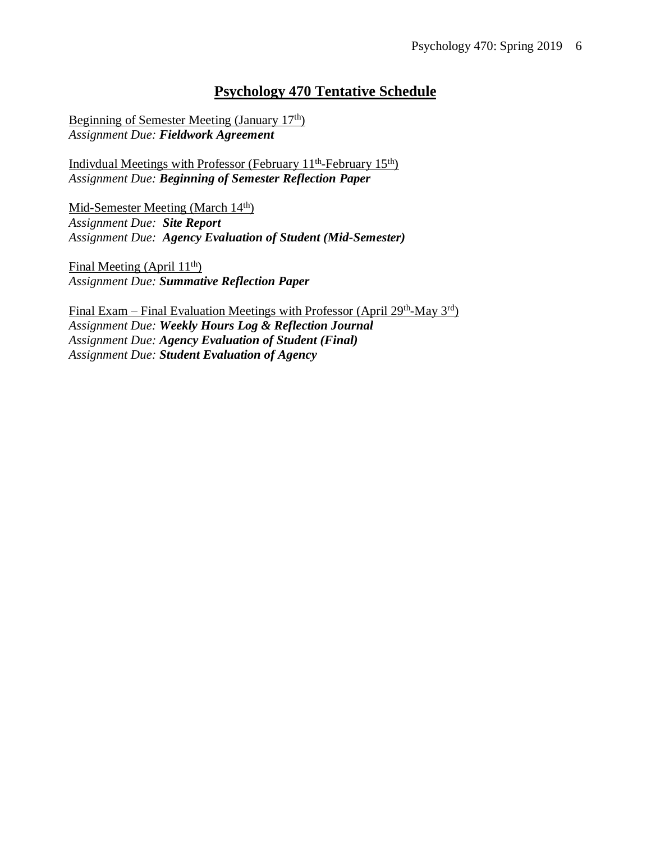#### **Psychology 470 Tentative Schedule**

Beginning of Semester Meeting (January 17th) *Assignment Due: Fieldwork Agreement*

Indivdual Meetings with Professor (February 11<sup>th</sup>-February 15<sup>th</sup>) *Assignment Due: Beginning of Semester Reflection Paper*

Mid-Semester Meeting (March 14<sup>th</sup>) *Assignment Due: Site Report Assignment Due: Agency Evaluation of Student (Mid-Semester)*

Final Meeting (April 11<sup>th</sup>) *Assignment Due: Summative Reflection Paper*

Final Exam – Final Evaluation Meetings with Professor (April 29<sup>th</sup>-May 3<sup>rd</sup>) *Assignment Due: Weekly Hours Log & Reflection Journal Assignment Due: Agency Evaluation of Student (Final) Assignment Due: Student Evaluation of Agency*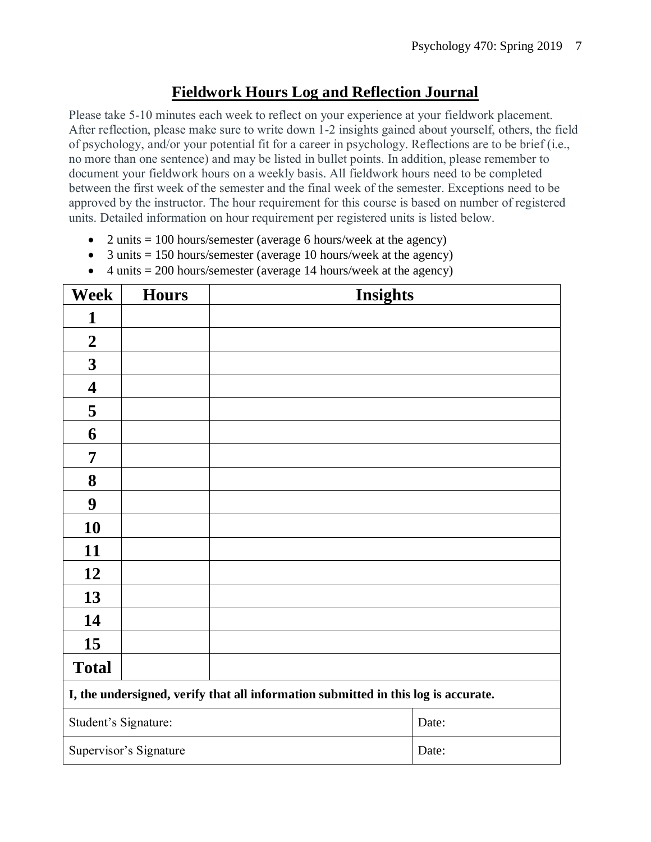### **Fieldwork Hours Log and Reflection Journal**

Please take 5-10 minutes each week to reflect on your experience at your fieldwork placement. After reflection, please make sure to write down 1-2 insights gained about yourself, others, the field of psychology, and/or your potential fit for a career in psychology. Reflections are to be brief (i.e., no more than one sentence) and may be listed in bullet points. In addition, please remember to document your fieldwork hours on a weekly basis. All fieldwork hours need to be completed between the first week of the semester and the final week of the semester. Exceptions need to be approved by the instructor. The hour requirement for this course is based on number of registered units. Detailed information on hour requirement per registered units is listed below.

- 2 units  $= 100$  hours/semester (average 6 hours/week at the agency)
- 3 units  $= 150$  hours/semester (average 10 hours/week at the agency)
- 4 units  $= 200$  hours/semester (average 14 hours/week at the agency)

| <b>Week</b>                                                                        | <b>Hours</b>           | <b>Insights</b> |       |  |
|------------------------------------------------------------------------------------|------------------------|-----------------|-------|--|
| 1                                                                                  |                        |                 |       |  |
| $\boldsymbol{2}$                                                                   |                        |                 |       |  |
| $\mathbf{3}$                                                                       |                        |                 |       |  |
| $\overline{\mathbf{4}}$                                                            |                        |                 |       |  |
| 5                                                                                  |                        |                 |       |  |
| 6                                                                                  |                        |                 |       |  |
| 7                                                                                  |                        |                 |       |  |
| 8                                                                                  |                        |                 |       |  |
| $\boldsymbol{9}$                                                                   |                        |                 |       |  |
| 10                                                                                 |                        |                 |       |  |
| 11                                                                                 |                        |                 |       |  |
| 12                                                                                 |                        |                 |       |  |
| 13                                                                                 |                        |                 |       |  |
| 14                                                                                 |                        |                 |       |  |
| 15                                                                                 |                        |                 |       |  |
| <b>Total</b>                                                                       |                        |                 |       |  |
| I, the undersigned, verify that all information submitted in this log is accurate. |                        |                 |       |  |
| Student's Signature:                                                               |                        |                 | Date: |  |
|                                                                                    | Supervisor's Signature |                 | Date: |  |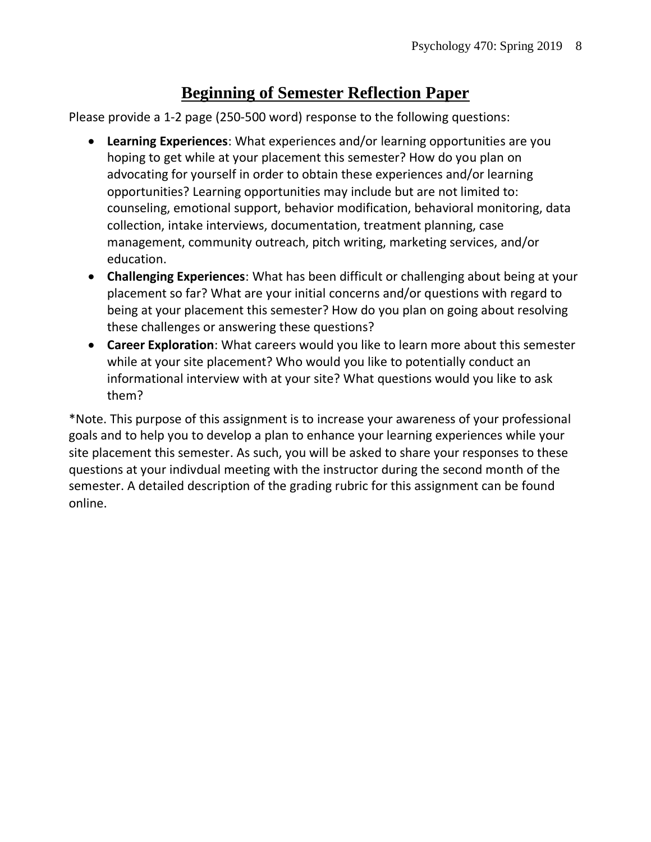# **Beginning of Semester Reflection Paper**

Please provide a 1-2 page (250-500 word) response to the following questions:

- **Learning Experiences**: What experiences and/or learning opportunities are you hoping to get while at your placement this semester? How do you plan on advocating for yourself in order to obtain these experiences and/or learning opportunities? Learning opportunities may include but are not limited to: counseling, emotional support, behavior modification, behavioral monitoring, data collection, intake interviews, documentation, treatment planning, case management, community outreach, pitch writing, marketing services, and/or education.
- **Challenging Experiences**: What has been difficult or challenging about being at your placement so far? What are your initial concerns and/or questions with regard to being at your placement this semester? How do you plan on going about resolving these challenges or answering these questions?
- **Career Exploration**: What careers would you like to learn more about this semester while at your site placement? Who would you like to potentially conduct an informational interview with at your site? What questions would you like to ask them?

\*Note. This purpose of this assignment is to increase your awareness of your professional goals and to help you to develop a plan to enhance your learning experiences while your site placement this semester. As such, you will be asked to share your responses to these questions at your indivdual meeting with the instructor during the second month of the semester. A detailed description of the grading rubric for this assignment can be found online.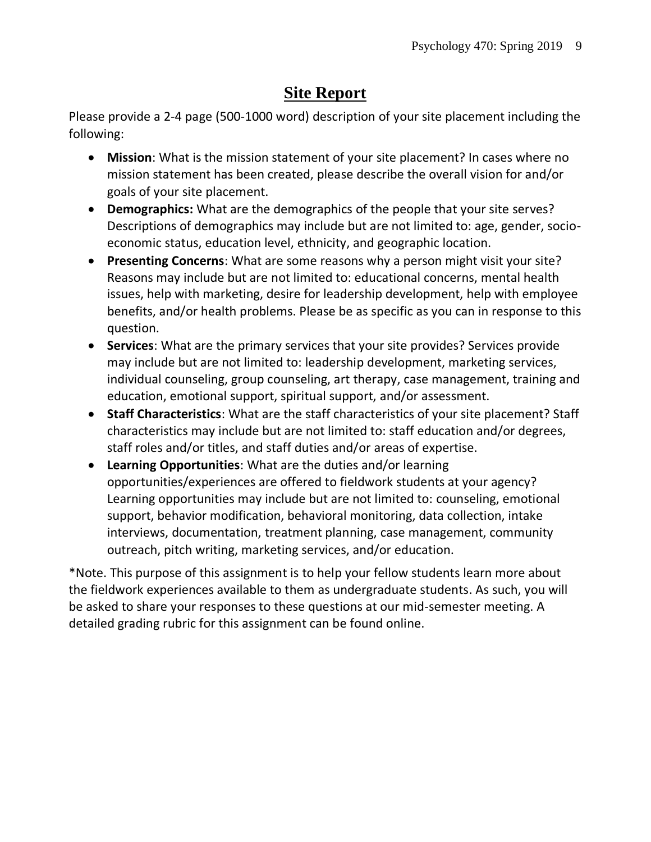# **Site Report**

Please provide a 2-4 page (500-1000 word) description of your site placement including the following:

- **Mission**: What is the mission statement of your site placement? In cases where no mission statement has been created, please describe the overall vision for and/or goals of your site placement.
- **Demographics:** What are the demographics of the people that your site serves? Descriptions of demographics may include but are not limited to: age, gender, socioeconomic status, education level, ethnicity, and geographic location.
- **Presenting Concerns**: What are some reasons why a person might visit your site? Reasons may include but are not limited to: educational concerns, mental health issues, help with marketing, desire for leadership development, help with employee benefits, and/or health problems. Please be as specific as you can in response to this question.
- **Services**: What are the primary services that your site provides? Services provide may include but are not limited to: leadership development, marketing services, individual counseling, group counseling, art therapy, case management, training and education, emotional support, spiritual support, and/or assessment.
- **Staff Characteristics**: What are the staff characteristics of your site placement? Staff characteristics may include but are not limited to: staff education and/or degrees, staff roles and/or titles, and staff duties and/or areas of expertise.
- **Learning Opportunities**: What are the duties and/or learning opportunities/experiences are offered to fieldwork students at your agency? Learning opportunities may include but are not limited to: counseling, emotional support, behavior modification, behavioral monitoring, data collection, intake interviews, documentation, treatment planning, case management, community outreach, pitch writing, marketing services, and/or education.

\*Note. This purpose of this assignment is to help your fellow students learn more about the fieldwork experiences available to them as undergraduate students. As such, you will be asked to share your responses to these questions at our mid-semester meeting. A detailed grading rubric for this assignment can be found online.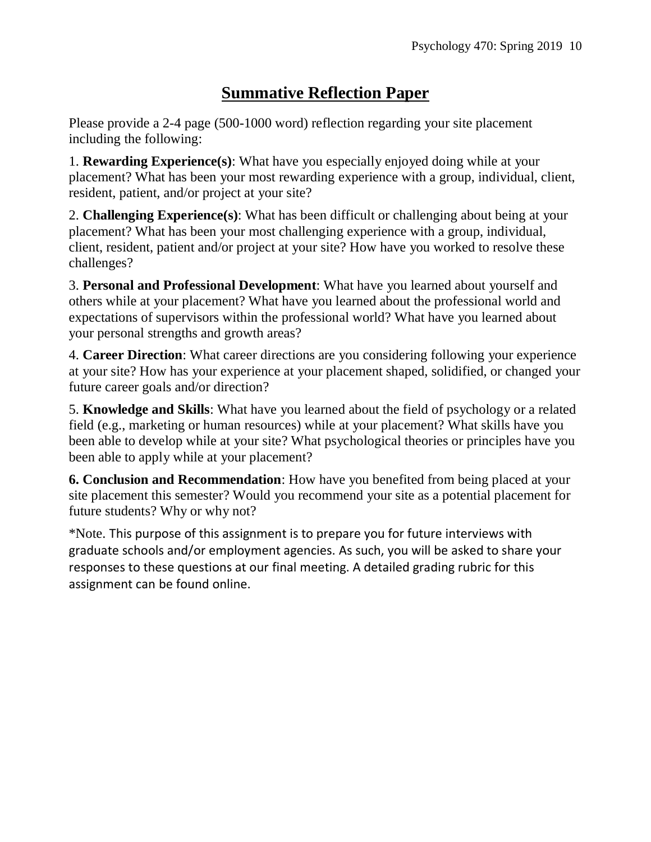# **Summative Reflection Paper**

Please provide a 2-4 page (500-1000 word) reflection regarding your site placement including the following:

1. **Rewarding Experience(s)**: What have you especially enjoyed doing while at your placement? What has been your most rewarding experience with a group, individual, client, resident, patient, and/or project at your site?

2. **Challenging Experience(s)**: What has been difficult or challenging about being at your placement? What has been your most challenging experience with a group, individual, client, resident, patient and/or project at your site? How have you worked to resolve these challenges?

3. **Personal and Professional Development**: What have you learned about yourself and others while at your placement? What have you learned about the professional world and expectations of supervisors within the professional world? What have you learned about your personal strengths and growth areas?

4. **Career Direction**: What career directions are you considering following your experience at your site? How has your experience at your placement shaped, solidified, or changed your future career goals and/or direction?

5. **Knowledge and Skills**: What have you learned about the field of psychology or a related field (e.g., marketing or human resources) while at your placement? What skills have you been able to develop while at your site? What psychological theories or principles have you been able to apply while at your placement?

**6. Conclusion and Recommendation**: How have you benefited from being placed at your site placement this semester? Would you recommend your site as a potential placement for future students? Why or why not?

\*Note. This purpose of this assignment is to prepare you for future interviews with graduate schools and/or employment agencies. As such, you will be asked to share your responses to these questions at our final meeting. A detailed grading rubric for this assignment can be found online.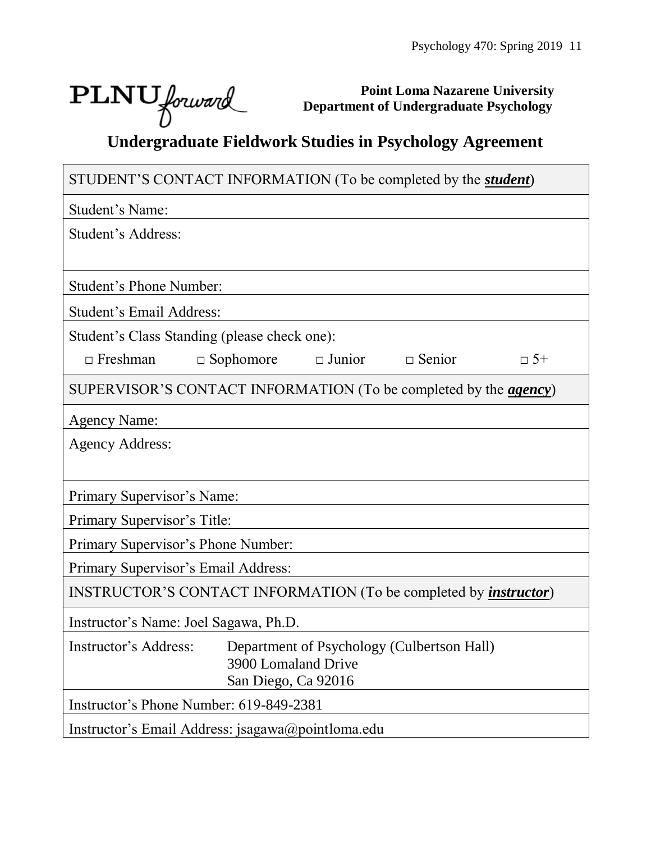┑

# $\text{PLNU}$  forward

 $\Box$ 

**Point Loma Nazarene University Department of Undergraduate Psychology**

# **Undergraduate Fieldwork Studies in Psychology Agreement**

| STUDENT'S CONTACT INFORMATION (To be completed by the <i>student</i> )   |           |  |  |  |  |
|--------------------------------------------------------------------------|-----------|--|--|--|--|
| Student's Name:                                                          |           |  |  |  |  |
| Student's Address:                                                       |           |  |  |  |  |
|                                                                          |           |  |  |  |  |
| <b>Student's Phone Number:</b>                                           |           |  |  |  |  |
| Student's Email Address:                                                 |           |  |  |  |  |
| Student's Class Standing (please check one):                             |           |  |  |  |  |
| $\Box$ Sophomore<br>$\Box$ Junior $\Box$ Senior<br>$\Box$ Freshman       | $\Box$ 5+ |  |  |  |  |
| SUPERVISOR'S CONTACT INFORMATION (To be completed by the <i>agency</i> ) |           |  |  |  |  |
| <b>Agency Name:</b>                                                      |           |  |  |  |  |
| <b>Agency Address:</b>                                                   |           |  |  |  |  |
|                                                                          |           |  |  |  |  |
| Primary Supervisor's Name:                                               |           |  |  |  |  |
| Primary Supervisor's Title:                                              |           |  |  |  |  |
| Primary Supervisor's Phone Number:                                       |           |  |  |  |  |
| Primary Supervisor's Email Address:                                      |           |  |  |  |  |
| INSTRUCTOR'S CONTACT INFORMATION (To be completed by <i>instructor</i> ) |           |  |  |  |  |
| Instructor's Name: Joel Sagawa, Ph.D.                                    |           |  |  |  |  |
| Instructor's Address: Department of Psychology (Culbertson Hall)         |           |  |  |  |  |
| 3900 Lomaland Drive<br>San Diego, Ca 92016                               |           |  |  |  |  |
| Instructor's Phone Number: 619-849-2381                                  |           |  |  |  |  |
| Instructor's Email Address: jsagawa@pointloma.edu                        |           |  |  |  |  |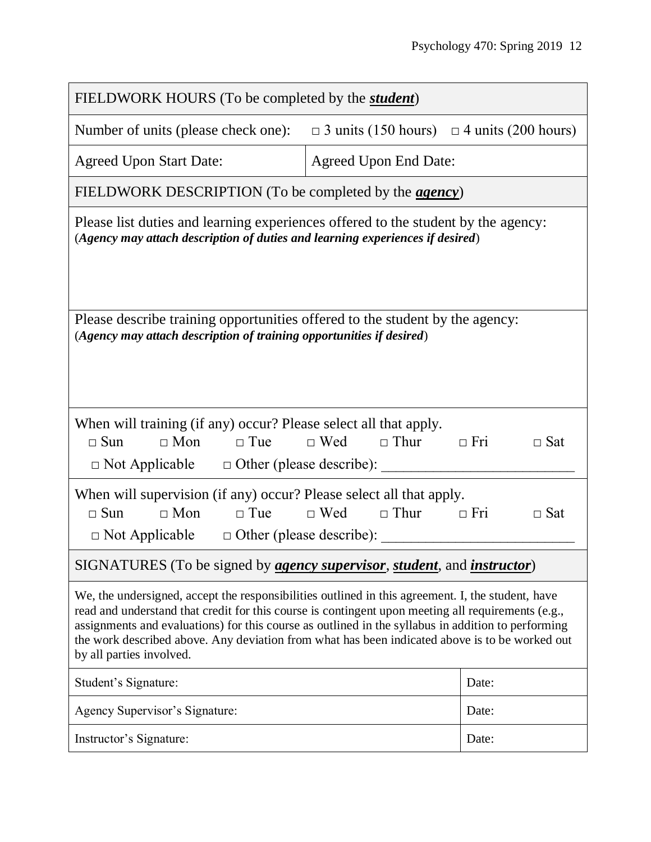| FIELDWORK HOURS (To be completed by the <i>student</i> )                                                                                                                                                                                                                                                                                                                                                                                    |                                                       |            |  |  |
|---------------------------------------------------------------------------------------------------------------------------------------------------------------------------------------------------------------------------------------------------------------------------------------------------------------------------------------------------------------------------------------------------------------------------------------------|-------------------------------------------------------|------------|--|--|
| Number of units (please check one):                                                                                                                                                                                                                                                                                                                                                                                                         | $\Box$ 3 units (150 hours) $\Box$ 4 units (200 hours) |            |  |  |
| <b>Agreed Upon Start Date:</b>                                                                                                                                                                                                                                                                                                                                                                                                              | <b>Agreed Upon End Date:</b>                          |            |  |  |
| FIELDWORK DESCRIPTION (To be completed by the <i>agency</i> )                                                                                                                                                                                                                                                                                                                                                                               |                                                       |            |  |  |
| Please list duties and learning experiences offered to the student by the agency:<br>(Agency may attach description of duties and learning experiences if desired)                                                                                                                                                                                                                                                                          |                                                       |            |  |  |
| Please describe training opportunities offered to the student by the agency:<br>(Agency may attach description of training opportunities if desired)                                                                                                                                                                                                                                                                                        |                                                       |            |  |  |
| When will training (if any) occur? Please select all that apply.<br>$\Box$ Mon<br>$\Box$ Sun<br>$\Box$ Tue                                                                                                                                                                                                                                                                                                                                  | $\Box$ Wed $\Box$ Thur<br>$\Box$ Fri                  | $\Box$ Sat |  |  |
| When will supervision (if any) occur? Please select all that apply.<br>$\Box$ Mon<br>$\Box$ Tue<br>$\Box$ Sun<br>$\Box$ Not Applicable $\Box$ Other (please describe):                                                                                                                                                                                                                                                                      | $\Box$ Wed $\Box$ Thur<br>$\Box$ Fri                  | $\Box$ Sat |  |  |
| SIGNATURES (To be signed by <i>agency supervisor, student</i> , and <i>instructor</i> )                                                                                                                                                                                                                                                                                                                                                     |                                                       |            |  |  |
| We, the undersigned, accept the responsibilities outlined in this agreement. I, the student, have<br>read and understand that credit for this course is contingent upon meeting all requirements (e.g.,<br>assignments and evaluations) for this course as outlined in the syllabus in addition to performing<br>the work described above. Any deviation from what has been indicated above is to be worked out<br>by all parties involved. |                                                       |            |  |  |
| Student's Signature:                                                                                                                                                                                                                                                                                                                                                                                                                        |                                                       | Date:      |  |  |
| Agency Supervisor's Signature:                                                                                                                                                                                                                                                                                                                                                                                                              |                                                       | Date:      |  |  |
| Instructor's Signature:                                                                                                                                                                                                                                                                                                                                                                                                                     |                                                       | Date:      |  |  |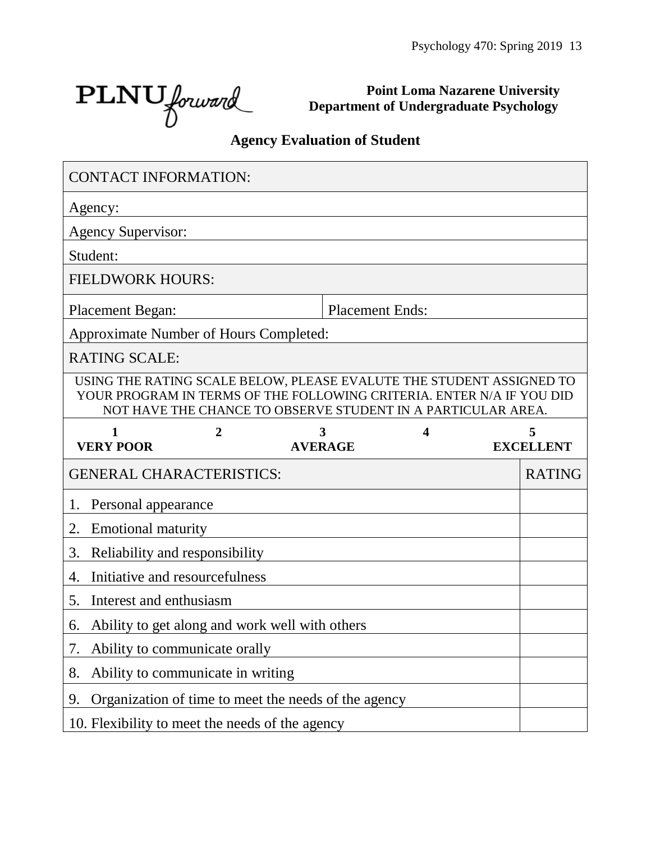$\text{PLNU}_{forward}$ 

**Point Loma Nazarene University Department of Undergraduate Psychology**

# **Agency Evaluation of Student**

| <b>CONTACT INFORMATION:</b>                   |                |                                                                                                                                                                                                               |   |                       |
|-----------------------------------------------|----------------|---------------------------------------------------------------------------------------------------------------------------------------------------------------------------------------------------------------|---|-----------------------|
| Agency:                                       |                |                                                                                                                                                                                                               |   |                       |
| <b>Agency Supervisor:</b>                     |                |                                                                                                                                                                                                               |   |                       |
| Student:                                      |                |                                                                                                                                                                                                               |   |                       |
| <b>FIELDWORK HOURS:</b>                       |                |                                                                                                                                                                                                               |   |                       |
| <b>Placement Began:</b>                       |                | <b>Placement Ends:</b>                                                                                                                                                                                        |   |                       |
| <b>Approximate Number of Hours Completed:</b> |                |                                                                                                                                                                                                               |   |                       |
| <b>RATING SCALE:</b>                          |                |                                                                                                                                                                                                               |   |                       |
|                                               |                | USING THE RATING SCALE BELOW, PLEASE EVALUTE THE STUDENT ASSIGNED TO<br>YOUR PROGRAM IN TERMS OF THE FOLLOWING CRITERIA. ENTER N/A IF YOU DID<br>NOT HAVE THE CHANCE TO OBSERVE STUDENT IN A PARTICULAR AREA. |   |                       |
| $\mathbf{1}$<br><b>VERY POOR</b>              | $\overline{2}$ | 3<br><b>AVERAGE</b>                                                                                                                                                                                           | 4 | 5<br><b>EXCELLENT</b> |
| <b>GENERAL CHARACTERISTICS:</b>               |                |                                                                                                                                                                                                               |   | <b>RATING</b>         |
| Personal appearance<br>1.                     |                |                                                                                                                                                                                                               |   |                       |
| 2.<br><b>Emotional maturity</b>               |                |                                                                                                                                                                                                               |   |                       |
| 3.<br>Reliability and responsibility          |                |                                                                                                                                                                                                               |   |                       |
| Initiative and resourcefulness<br>4.          |                |                                                                                                                                                                                                               |   |                       |
| Interest and enthusiasm<br>5.                 |                |                                                                                                                                                                                                               |   |                       |
| 6.                                            |                | Ability to get along and work well with others                                                                                                                                                                |   |                       |
| Ability to communicate orally<br>7.           |                |                                                                                                                                                                                                               |   |                       |
| Ability to communicate in writing<br>8.       |                |                                                                                                                                                                                                               |   |                       |
|                                               |                |                                                                                                                                                                                                               |   |                       |
| 9.                                            |                | Organization of time to meet the needs of the agency                                                                                                                                                          |   |                       |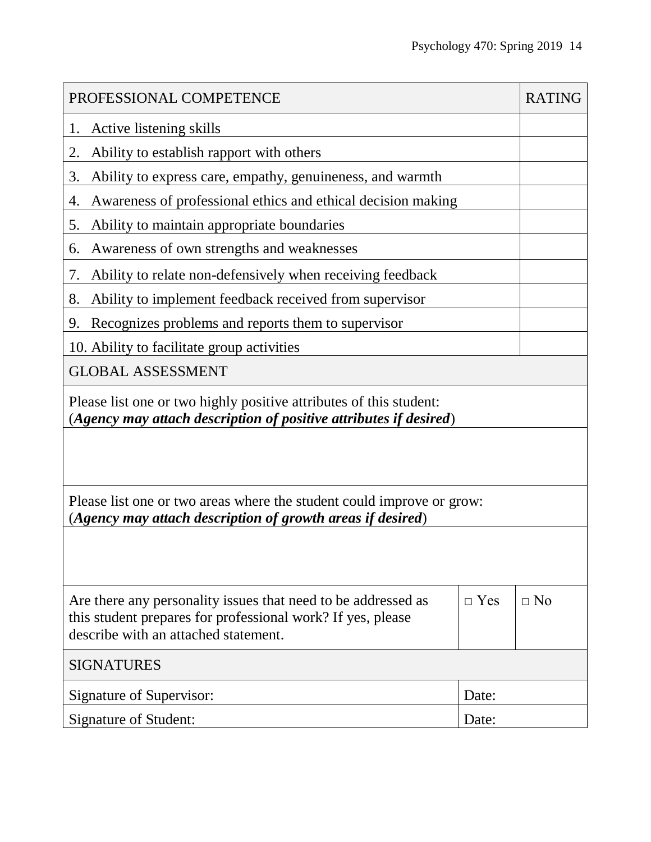| PROFESSIONAL COMPETENCE                                                                                                                                              |            | <b>RATING</b> |  |  |
|----------------------------------------------------------------------------------------------------------------------------------------------------------------------|------------|---------------|--|--|
| Active listening skills<br>1.                                                                                                                                        |            |               |  |  |
| Ability to establish rapport with others<br>2.                                                                                                                       |            |               |  |  |
| 3.<br>Ability to express care, empathy, genuineness, and warmth                                                                                                      |            |               |  |  |
| Awareness of professional ethics and ethical decision making<br>4.                                                                                                   |            |               |  |  |
| Ability to maintain appropriate boundaries<br>5.                                                                                                                     |            |               |  |  |
| Awareness of own strengths and weaknesses<br>6.                                                                                                                      |            |               |  |  |
| Ability to relate non-defensively when receiving feedback<br>7.                                                                                                      |            |               |  |  |
| Ability to implement feedback received from supervisor<br>8.                                                                                                         |            |               |  |  |
| Recognizes problems and reports them to supervisor<br>9.                                                                                                             |            |               |  |  |
| 10. Ability to facilitate group activities                                                                                                                           |            |               |  |  |
| <b>GLOBAL ASSESSMENT</b>                                                                                                                                             |            |               |  |  |
| Please list one or two highly positive attributes of this student:<br>(Agency may attach description of positive attributes if desired)                              |            |               |  |  |
|                                                                                                                                                                      |            |               |  |  |
| Please list one or two areas where the student could improve or grow:<br>(Agency may attach description of growth areas if desired)                                  |            |               |  |  |
|                                                                                                                                                                      |            |               |  |  |
| Are there any personality issues that need to be addressed as<br>this student prepares for professional work? If yes, please<br>describe with an attached statement. | $\Box$ Yes | $\Box$ No     |  |  |
| <b>SIGNATURES</b>                                                                                                                                                    |            |               |  |  |
| Signature of Supervisor:<br>Date:                                                                                                                                    |            |               |  |  |
| Signature of Student:                                                                                                                                                | Date:      |               |  |  |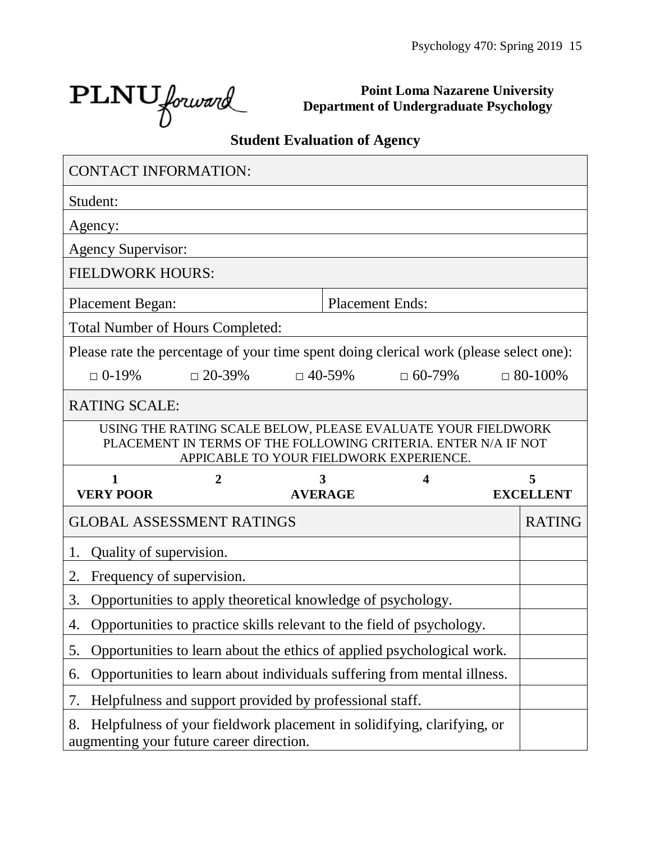Ĩ.

 $\text{PLNU}_{forward}$ 

 $\blacksquare$ 

**Point Loma Nazarene University Department of Undergraduate Psychology**

# **Student Evaluation of Agency**

| <b>CONTACT INFORMATION:</b>                                                                                                                                               |                                                                         |  |                        |               |                  |
|---------------------------------------------------------------------------------------------------------------------------------------------------------------------------|-------------------------------------------------------------------------|--|------------------------|---------------|------------------|
| Student:                                                                                                                                                                  |                                                                         |  |                        |               |                  |
| Agency:                                                                                                                                                                   |                                                                         |  |                        |               |                  |
| <b>Agency Supervisor:</b>                                                                                                                                                 |                                                                         |  |                        |               |                  |
| <b>FIELDWORK HOURS:</b>                                                                                                                                                   |                                                                         |  |                        |               |                  |
| <b>Placement Began:</b>                                                                                                                                                   |                                                                         |  | <b>Placement Ends:</b> |               |                  |
| <b>Total Number of Hours Completed:</b>                                                                                                                                   |                                                                         |  |                        |               |                  |
| Please rate the percentage of your time spent doing clerical work (please select one):                                                                                    |                                                                         |  |                        |               |                  |
| $\Box$ 0-19%                                                                                                                                                              | $\Box$ 20-39%                                                           |  | $\Box$ 40-59%          | $\Box$ 60-79% | $\Box$ 80-100%   |
| <b>RATING SCALE:</b>                                                                                                                                                      |                                                                         |  |                        |               |                  |
| USING THE RATING SCALE BELOW, PLEASE EVALUATE YOUR FIELDWORK<br>PLACEMENT IN TERMS OF THE FOLLOWING CRITERIA. ENTER N/A IF NOT<br>APPICABLE TO YOUR FIELDWORK EXPERIENCE. |                                                                         |  |                        |               |                  |
|                                                                                                                                                                           |                                                                         |  |                        |               |                  |
| 1                                                                                                                                                                         | 2                                                                       |  | 3                      | 4             | 5                |
| <b>VERY POOR</b>                                                                                                                                                          |                                                                         |  | <b>AVERAGE</b>         |               | <b>EXCELLENT</b> |
| <b>GLOBAL ASSESSMENT RATINGS</b>                                                                                                                                          |                                                                         |  |                        |               | <b>RATING</b>    |
| Quality of supervision.<br>1.                                                                                                                                             |                                                                         |  |                        |               |                  |
| Frequency of supervision.<br>2.                                                                                                                                           |                                                                         |  |                        |               |                  |
| 3.                                                                                                                                                                        | Opportunities to apply theoretical knowledge of psychology.             |  |                        |               |                  |
| 4.                                                                                                                                                                        | Opportunities to practice skills relevant to the field of psychology.   |  |                        |               |                  |
| 5.                                                                                                                                                                        | Opportunities to learn about the ethics of applied psychological work.  |  |                        |               |                  |
| 6.                                                                                                                                                                        | Opportunities to learn about individuals suffering from mental illness. |  |                        |               |                  |
| 7.                                                                                                                                                                        | Helpfulness and support provided by professional staff.                 |  |                        |               |                  |